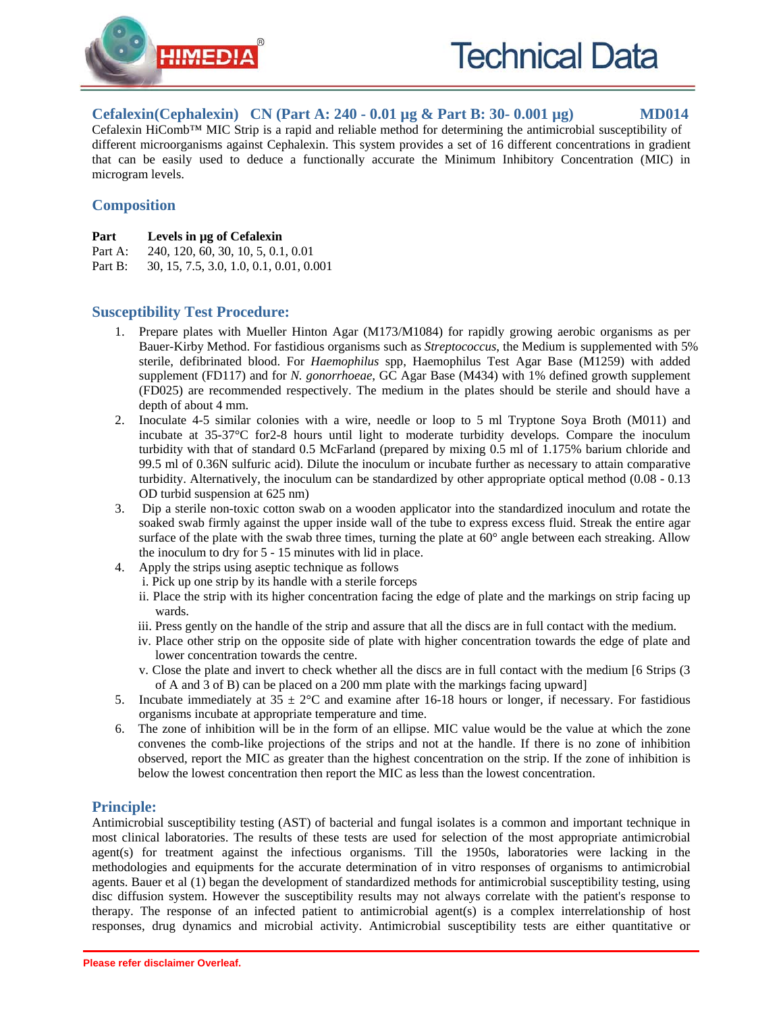

**Cefalexin(Cephalexin) CN (Part A: 240 - 0.01 µg & Part B: 30- 0.001 µg) MD014**

Cefalexin HiComb™ MIC Strip is a rapid and reliable method for determining the antimicrobial susceptibility of different microorganisms against Cephalexin. This system provides a set of 16 different concentrations in gradient that can be easily used to deduce a functionally accurate the Minimum Inhibitory Concentration (MIC) in microgram levels.

# **Composition**

- **Part Levels in µg of Cefalexin**
- Part A: 240, 120, 60, 30, 10, 5, 0.1, 0.01
- Part B: 30, 15, 7.5, 3.0, 1.0, 0.1, 0.01, 0.001

# **Susceptibility Test Procedure:**

- 1. Prepare plates with Mueller Hinton Agar (M173/M1084) for rapidly growing aerobic organisms as per Bauer-Kirby Method. For fastidious organisms such as *Streptococcus*, the Medium is supplemented with 5% sterile, defibrinated blood. For *Haemophilus* spp, Haemophilus Test Agar Base (M1259) with added supplement (FD117) and for *N. gonorrhoeae*, GC Agar Base (M434) with 1% defined growth supplement (FD025) are recommended respectively. The medium in the plates should be sterile and should have a depth of about 4 mm.
- 2. Inoculate 4-5 similar colonies with a wire, needle or loop to 5 ml Tryptone Soya Broth (M011) and incubate at 35-37°C for2-8 hours until light to moderate turbidity develops. Compare the inoculum turbidity with that of standard 0.5 McFarland (prepared by mixing 0.5 ml of 1.175% barium chloride and 99.5 ml of 0.36N sulfuric acid). Dilute the inoculum or incubate further as necessary to attain comparative turbidity. Alternatively, the inoculum can be standardized by other appropriate optical method (0.08 - 0.13 OD turbid suspension at 625 nm)
- 3. Dip a sterile non-toxic cotton swab on a wooden applicator into the standardized inoculum and rotate the soaked swab firmly against the upper inside wall of the tube to express excess fluid. Streak the entire agar surface of the plate with the swab three times, turning the plate at 60° angle between each streaking. Allow the inoculum to dry for 5 - 15 minutes with lid in place.
- 4. Apply the strips using aseptic technique as follows
	- i. Pick up one strip by its handle with a sterile forceps
		- ii. Place the strip with its higher concentration facing the edge of plate and the markings on strip facing up wards.
		- iii. Press gently on the handle of the strip and assure that all the discs are in full contact with the medium.
		- iv. Place other strip on the opposite side of plate with higher concentration towards the edge of plate and lower concentration towards the centre.
		- v. Close the plate and invert to check whether all the discs are in full contact with the medium [6 Strips (3 of A and 3 of B) can be placed on a 200 mm plate with the markings facing upward]
- 5. Incubate immediately at  $35 \pm 2^{\circ}\text{C}$  and examine after 16-18 hours or longer, if necessary. For fastidious organisms incubate at appropriate temperature and time.
- 6. The zone of inhibition will be in the form of an ellipse. MIC value would be the value at which the zone convenes the comb-like projections of the strips and not at the handle. If there is no zone of inhibition observed, report the MIC as greater than the highest concentration on the strip. If the zone of inhibition is below the lowest concentration then report the MIC as less than the lowest concentration.

## **Principle:**

Antimicrobial susceptibility testing (AST) of bacterial and fungal isolates is a common and important technique in most clinical laboratories. The results of these tests are used for selection of the most appropriate antimicrobial agent(s) for treatment against the infectious organisms. Till the 1950s, laboratories were lacking in the methodologies and equipments for the accurate determination of in vitro responses of organisms to antimicrobial agents. Bauer et al (1) began the development of standardized methods for antimicrobial susceptibility testing, using disc diffusion system. However the susceptibility results may not always correlate with the patient's response to therapy. The response of an infected patient to antimicrobial agent(s) is a complex interrelationship of host responses, drug dynamics and microbial activity. Antimicrobial susceptibility tests are either quantitative or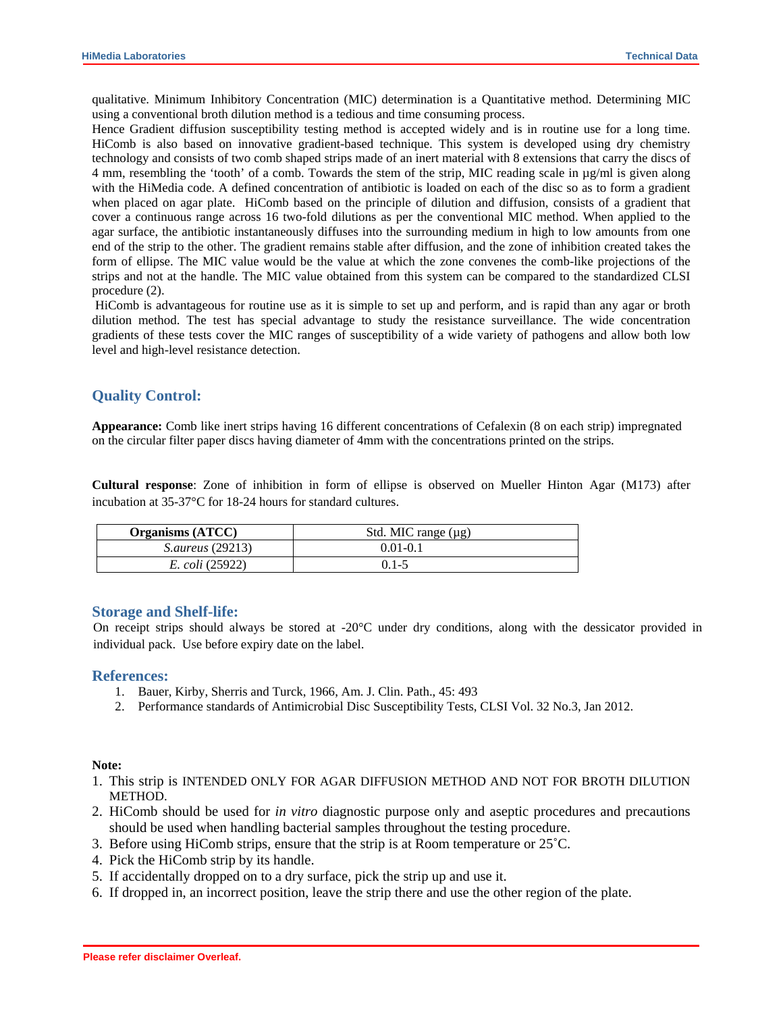qualitative. Minimum Inhibitory Concentration (MIC) determination is a Quantitative method. Determining MIC using a conventional broth dilution method is a tedious and time consuming process.

Hence Gradient diffusion susceptibility testing method is accepted widely and is in routine use for a long time. HiComb is also based on innovative gradient-based technique. This system is developed using dry chemistry technology and consists of two comb shaped strips made of an inert material with 8 extensions that carry the discs of 4 mm, resembling the 'tooth' of a comb. Towards the stem of the strip, MIC reading scale in µg/ml is given along with the HiMedia code. A defined concentration of antibiotic is loaded on each of the disc so as to form a gradient when placed on agar plate. HiComb based on the principle of dilution and diffusion, consists of a gradient that cover a continuous range across 16 two-fold dilutions as per the conventional MIC method. When applied to the agar surface, the antibiotic instantaneously diffuses into the surrounding medium in high to low amounts from one end of the strip to the other. The gradient remains stable after diffusion, and the zone of inhibition created takes the form of ellipse. The MIC value would be the value at which the zone convenes the comb-like projections of the strips and not at the handle. The MIC value obtained from this system can be compared to the standardized CLSI procedure (2).

 HiComb is advantageous for routine use as it is simple to set up and perform, and is rapid than any agar or broth dilution method. The test has special advantage to study the resistance surveillance. The wide concentration gradients of these tests cover the MIC ranges of susceptibility of a wide variety of pathogens and allow both low level and high-level resistance detection.

### **Quality Control:**

**Appearance:** Comb like inert strips having 16 different concentrations of Cefalexin (8 on each strip) impregnated on the circular filter paper discs having diameter of 4mm with the concentrations printed on the strips.

**Cultural response**: Zone of inhibition in form of ellipse is observed on Mueller Hinton Agar (M173) after incubation at 35-37°C for 18-24 hours for standard cultures.

| <b>Organisms</b> (ATCC) | Std. MIC range $(\mu g)$ |
|-------------------------|--------------------------|
| <i>S.aureus</i> (29213) | $0.01 - 0.1$             |
| <i>E. coli</i> (25922)  | $0.1 - 5$                |

#### **Storage and Shelf-life:**

On receipt strips should always be stored at -20°C under dry conditions, along with the dessicator provided in individual pack. Use before expiry date on the label.

#### **References:**

- 1. Bauer, Kirby, Sherris and Turck, 1966, Am. J. Clin. Path., 45: 493
- 2. Performance standards of Antimicrobial Disc Susceptibility Tests, CLSI Vol. 32 No.3, Jan 2012.

#### **Note:**

- 1. This strip is INTENDED ONLY FOR AGAR DIFFUSION METHOD AND NOT FOR BROTH DILUTION METHOD.
- 2. HiComb should be used for *in vitro* diagnostic purpose only and aseptic procedures and precautions should be used when handling bacterial samples throughout the testing procedure.
- 3. Before using HiComb strips, ensure that the strip is at Room temperature or 25˚C.
- 4. Pick the HiComb strip by its handle.
- 5. If accidentally dropped on to a dry surface, pick the strip up and use it.
- 6. If dropped in, an incorrect position, leave the strip there and use the other region of the plate.